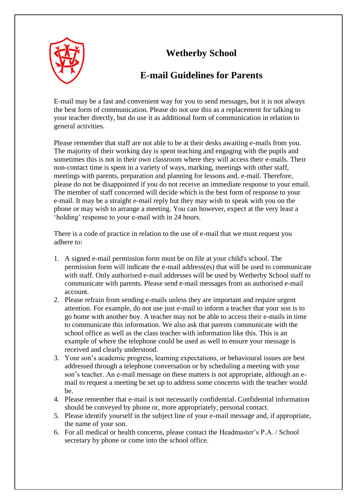## **Wetherby School**



## **E-mail Guidelines for Parents**

E-mail may be a fast and convenient way for you to send messages, but it is not always the best form of communication. Please do not use this as a replacement for talking to your teacher directly, but do use it as additional form of communication in relation to general activities.

Please remember that staff are not able to be at their desks awaiting e-mails from you. The majority of their working day is spent teaching and engaging with the pupils and sometimes this is not in their own classroom where they will access their e-mails. Their non-contact time is spent in a variety of ways, marking, meetings with other staff, meetings with parents, preparation and planning for lessons and, e-mail. Therefore, please do not be disappointed if you do not receive an immediate response to your email. The member of staff concerned will decide which is the best form of response to your e-mail. It may be a straight e-mail reply but they may wish to speak with you on the phone or may wish to arrange a meeting. You can however, expect at the very least a 'holding' response to your e-mail with in 24 hours.

There is a code of practice in relation to the use of e-mail that we must request you adhere to:

- 1. A signed e-mail permission form must be on file at your child's school. The permission form will indicate the e-mail address(es) that will be used to communicate with staff. Only authorised e-mail addresses will be used by Wetherby School staff to communicate with parents. Please send e-mail messages from an authorised e-mail account.
- 2. Please refrain from sending e-mails unless they are important and require urgent attention. For example, do not use just e-mail to inform a teacher that your son is to go home with another boy. A teacher may not be able to access their e-mails in time to communicate this information. We also ask that parents communicate with the school office as well as the class teacher with information like this. This is an example of where the telephone could be used as well to ensure your message is received and clearly understood.
- 3. Your son's academic progress, learning expectations, or behavioural issues are best addressed through a telephone conversation or by scheduling a meeting with your son's teacher. An e-mail message on these matters is not appropriate, although an email to request a meeting be set up to address some concerns with the teacher would be.
- 4. Please remember that e-mail is not necessarily confidential. Confidential information should be conveyed by phone or, more appropriately, personal contact.
- 5. Please identify yourself in the subject line of your e-mail message and, if appropriate, the name of your son.
- 6. For all medical or health concerns, please contact the Headmaster's P.A. / School secretary by phone or come into the school office.